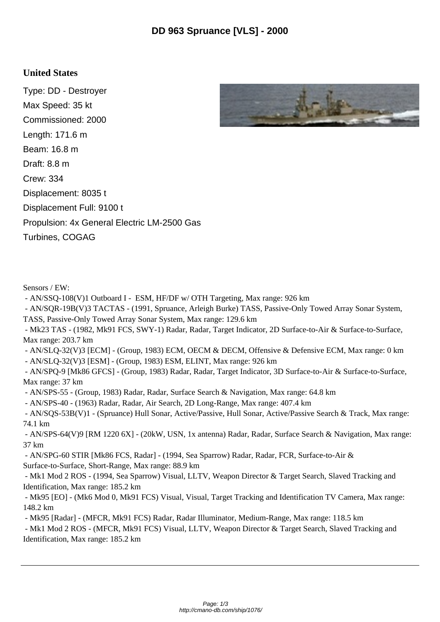## **United States**

Type: DD - Destroyer Max Speed: 35 kt Commissioned: 2000 Length: 171.6 m Beam: 16.8 m Draft: 8.8 m Crew: 334 Displacement: 8035 t Displacement Full: 9100 t Propulsion: 4x General Electric LM-2500 Gas Turbines, COGAG



Sensors / EW:

- AN/SSQ-108(V)1 Outboard I - ESM, HF/DF w/ OTH Targeting, Max range: 926 km

 - AN/SQR-19B(V)3 TACTAS - (1991, Spruance, Arleigh Burke) TASS, Passive-Only Towed Array Sonar System, TASS, Passive-Only Towed Array Sonar System, Max range: 129.6 km

 - Mk23 TAS - (1982, Mk91 FCS, SWY-1) Radar, Radar, Target Indicator, 2D Surface-to-Air & Surface-to-Surface, Max range: 203.7 km

 - AN/SLQ-32(V)3 [ECM] - (Group, 1983) ECM, OECM & DECM, Offensive & Defensive ECM, Max range: 0 km - AN/SLQ-32(V)3 [ESM] - (Group, 1983) ESM, ELINT, Max range: 926 km

 - AN/SPQ-9 [Mk86 GFCS] - (Group, 1983) Radar, Radar, Target Indicator, 3D Surface-to-Air & Surface-to-Surface, Max range: 37 km

- AN/SPS-55 - (Group, 1983) Radar, Radar, Surface Search & Navigation, Max range: 64.8 km

- AN/SPS-40 - (1963) Radar, Radar, Air Search, 2D Long-Range, Max range: 407.4 km

 - AN/SQS-53B(V)1 - (Spruance) Hull Sonar, Active/Passive, Hull Sonar, Active/Passive Search & Track, Max range: 74.1 km

 - AN/SPS-64(V)9 [RM 1220 6X] - (20kW, USN, 1x antenna) Radar, Radar, Surface Search & Navigation, Max range: 37 km

 - AN/SPG-60 STIR [Mk86 FCS, Radar] - (1994, Sea Sparrow) Radar, Radar, FCR, Surface-to-Air & Surface-to-Surface, Short-Range, Max range: 88.9 km

 - Mk1 Mod 2 ROS - (1994, Sea Sparrow) Visual, LLTV, Weapon Director & Target Search, Slaved Tracking and Identification, Max range: 185.2 km

 - Mk95 [EO] - (Mk6 Mod 0, Mk91 FCS) Visual, Visual, Target Tracking and Identification TV Camera, Max range: 148.2 km

- Mk95 [Radar] - (MFCR, Mk91 FCS) Radar, Radar Illuminator, Medium-Range, Max range: 118.5 km

 - Mk1 Mod 2 ROS - (MFCR, Mk91 FCS) Visual, LLTV, Weapon Director & Target Search, Slaved Tracking and Identification, Max range: 185.2 km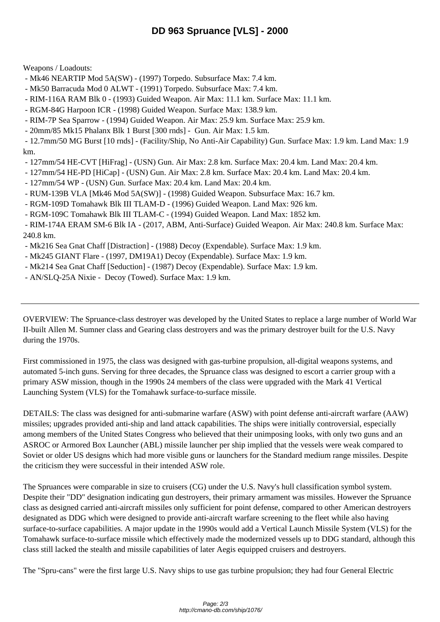Weapons / Loadouts:

- Mk46 NEARTIP Mod 5A(SW) (1997) Torpedo. Subsurface Max: 7.4 km.
- Mk50 Barracuda Mod 0 ALWT (1991) Torpedo. Subsurface Max: 7.4 km.
- RIM-116A RAM Blk 0 (1993) Guided Weapon. Air Max: 11.1 km. Surface Max: 11.1 km.
- RGM-84G Harpoon ICR (1998) Guided Weapon. Surface Max: 138.9 km.
- RIM-7P Sea Sparrow (1994) Guided Weapon. Air Max: 25.9 km. Surface Max: 25.9 km.
- 20mm/85 Mk15 Phalanx Blk 1 Burst [300 rnds] Gun. Air Max: 1.5 km.

 - 12.7mm/50 MG Burst [10 rnds] - (Facility/Ship, No Anti-Air Capability) Gun. Surface Max: 1.9 km. Land Max: 1.9 km.

- 127mm/54 HE-CVT [HiFrag] (USN) Gun. Air Max: 2.8 km. Surface Max: 20.4 km. Land Max: 20.4 km.
- 127mm/54 HE-PD [HiCap] (USN) Gun. Air Max: 2.8 km. Surface Max: 20.4 km. Land Max: 20.4 km.
- 127mm/54 WP (USN) Gun. Surface Max: 20.4 km. Land Max: 20.4 km.
- RUM-139B VLA [Mk46 Mod 5A(SW)] (1998) Guided Weapon. Subsurface Max: 16.7 km.
- RGM-109D Tomahawk Blk III TLAM-D (1996) Guided Weapon. Land Max: 926 km.
- RGM-109C Tomahawk Blk III TLAM-C (1994) Guided Weapon. Land Max: 1852 km.

 - RIM-174A ERAM SM-6 Blk IA - (2017, ABM, Anti-Surface) Guided Weapon. Air Max: 240.8 km. Surface Max: 240.8 km.

- Mk216 Sea Gnat Chaff [Distraction] (1988) Decoy (Expendable). Surface Max: 1.9 km.
- Mk245 GIANT Flare (1997, DM19A1) Decoy (Expendable). Surface Max: 1.9 km.
- Mk214 Sea Gnat Chaff [Seduction] (1987) Decoy (Expendable). Surface Max: 1.9 km.
- AN/SLQ-25A Nixie Decoy (Towed). Surface Max: 1.9 km.

OVERVIEW: The Spruance-class destroyer was developed by the United States to replace a large number of World War II-built Allen M. Sumner class and Gearing class destroyers and was the primary destroyer built for the U.S. Navy during the 1970s.

First commissioned in 1975, the class was designed with gas-turbine propulsion, all-digital weapons systems, and automated 5-inch guns. Serving for three decades, the Spruance class was designed to escort a carrier group with a primary ASW mission, though in the 1990s 24 members of the class were upgraded with the Mark 41 Vertical Launching System (VLS) for the Tomahawk surface-to-surface missile.

DETAILS: The class was designed for anti-submarine warfare (ASW) with point defense anti-aircraft warfare (AAW) missiles; upgrades provided anti-ship and land attack capabilities. The ships were initially controversial, especially among members of the United States Congress who believed that their unimposing looks, with only two guns and an ASROC or Armored Box Launcher (ABL) missile launcher per ship implied that the vessels were weak compared to Soviet or older US designs which had more visible guns or launchers for the Standard medium range missiles. Despite the criticism they were successful in their intended ASW role.

The Spruances were comparable in size to cruisers (CG) under the U.S. Navy's hull classification symbol system. Despite their "DD" designation indicating gun destroyers, their primary armament was missiles. However the Spruance class as designed carried anti-aircraft missiles only sufficient for point defense, compared to other American destroyers designated as DDG which were designed to provide anti-aircraft warfare screening to the fleet while also having surface-to-surface capabilities. A major update in the 1990s would add a Vertical Launch Missile System (VLS) for the Tomahawk surface-to-surface missile which effectively made the modernized vessels up to DDG standard, although this class still lacked the stealth and missile capabilities of later Aegis equipped cruisers and destroyers.

The "Spru-cans" were the first large U.S. Navy ships to use gas turbine propulsion; they had four General Electric